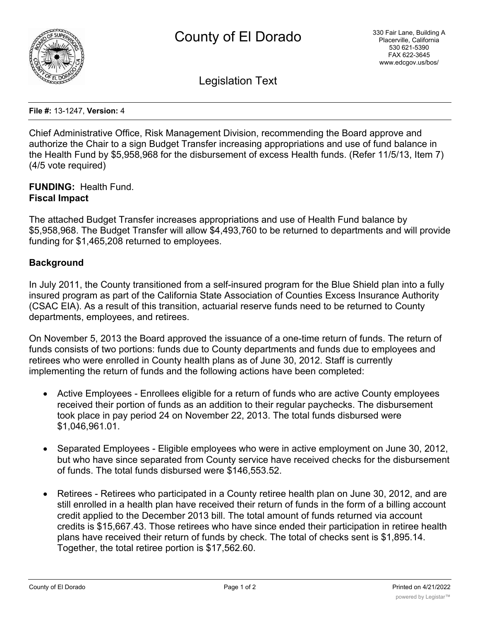

Legislation Text

**File #:** 13-1247, **Version:** 4

Chief Administrative Office, Risk Management Division, recommending the Board approve and authorize the Chair to a sign Budget Transfer increasing appropriations and use of fund balance in the Health Fund by \$5,958,968 for the disbursement of excess Health funds. (Refer 11/5/13, Item 7) (4/5 vote required)

**FUNDING:** Health Fund. **Fiscal Impact**

The attached Budget Transfer increases appropriations and use of Health Fund balance by \$5,958,968. The Budget Transfer will allow \$4,493,760 to be returned to departments and will provide funding for \$1,465,208 returned to employees.

## **Background**

In July 2011, the County transitioned from a self-insured program for the Blue Shield plan into a fully insured program as part of the California State Association of Counties Excess Insurance Authority (CSAC EIA). As a result of this transition, actuarial reserve funds need to be returned to County departments, employees, and retirees.

On November 5, 2013 the Board approved the issuance of a one-time return of funds. The return of funds consists of two portions: funds due to County departments and funds due to employees and retirees who were enrolled in County health plans as of June 30, 2012. Staff is currently implementing the return of funds and the following actions have been completed:

- · Active Employees Enrollees eligible for a return of funds who are active County employees received their portion of funds as an addition to their regular paychecks. The disbursement took place in pay period 24 on November 22, 2013. The total funds disbursed were \$1,046,961.01.
- · Separated Employees Eligible employees who were in active employment on June 30, 2012, but who have since separated from County service have received checks for the disbursement of funds. The total funds disbursed were \$146,553.52.
- Retirees Retirees who participated in a County retiree health plan on June 30, 2012, and are still enrolled in a health plan have received their return of funds in the form of a billing account credit applied to the December 2013 bill. The total amount of funds returned via account credits is \$15,667.43. Those retirees who have since ended their participation in retiree health plans have received their return of funds by check. The total of checks sent is \$1,895.14. Together, the total retiree portion is \$17,562.60.